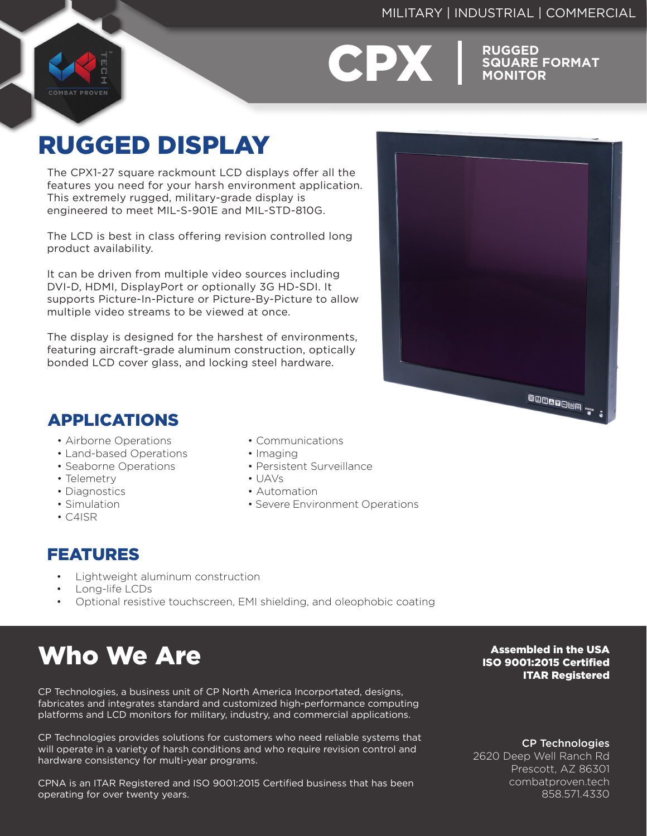### MILITARY | INDUSTRIAL | COMMERCIAL



**CPX** RUGGED

**SQUARE FORMAT MONITOR**

## RUGGED DISPLAY

The CPX1-27 square rackmount LCD displays offer all the features you need for your harsh environment application. This extremely rugged, military-grade display is engineered to meet MIL-S-901E and MIL-STD-810G.

The LCD is best in class offering revision controlled long product availability.

It can be driven from multiple video sources including DVI-D, HDMI, DisplayPort or optionally 3G HD-SDI. It supports Picture-In-Picture or Picture-By-Picture to allow multiple video streams to be viewed at once.

The display is designed for the harshest of environments, featuring aircraft-grade aluminum construction, optically bonded LCD cover glass, and locking steel hardware.



## APPLICATIONS

- Airborne Operations
- Land-based Operations
- Seaborne Operations
- Telemetry
- Diagnostics
- Simulation
- C4ISR
- Communications
- Imaging
- Persistent Surveillance
- UAVs
- Automation
- Severe Environment Operations

### FEATURES

- Lightweight aluminum construction
- Long-life LCDs
- Optional resistive touchscreen, EMI shielding, and oleophobic coating

# Who We Are

CP Technologies, a business unit of CP North America Incorportated, designs, fabricates and integrates standard and customized high-performance computing platforms and LCD monitors for military, industry, and commercial applications.

CP Technologies provides solutions for customers who need reliable systems that will operate in a variety of harsh conditions and who require revision control and hardware consistency for multi-year programs.

CPNA is an ITAR Registered and ISO 9001:2015 Certified business that has been operating for over twenty years.

### Assembled in the USA ISO 9001:2015 Certified ITAR Registered

CP Technologies

2620 Deep Well Ranch Rd Prescott, AZ 86301 combatproven.tech 858.571.4330